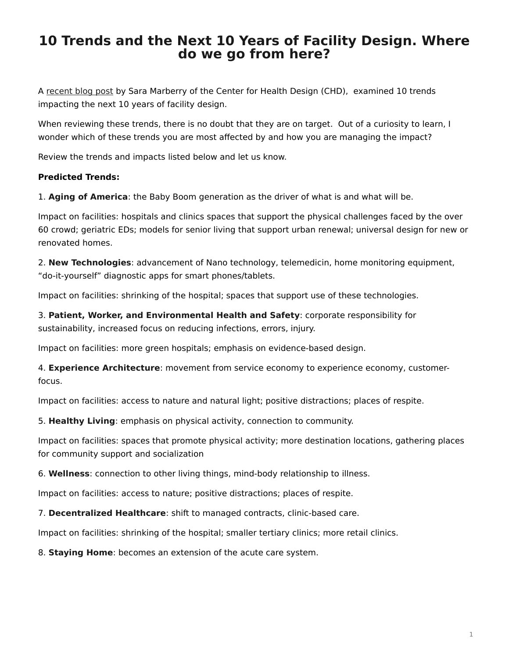## <span id="page-0-0"></span>**10 Trends and the Next 10 Years of Facility Design. Where do we go from here?**

A [recent blog post](http://blog.healthdesign.org/2011/10/) by Sara Marberry of the Center for Health Design (CHD), examined 10 trends impacting the next 10 years of facility design.

When reviewing these trends, there is no doubt that they are on target. Out of a curiosity to learn, I wonder which of these trends you are most affected by and how you are managing the impact?

Review the trends and impacts listed below and let us know.

## **Predicted Trends:**

1. **Aging of America**: the Baby Boom generation as the driver of what is and what will be.

Impact on facilities: hospitals and clinics spaces that support the physical challenges faced by the over 60 crowd; geriatric EDs; models for senior living that support urban renewal; universal design for new or renovated homes.

2. **New Technologies**: advancement of Nano technology, telemedicin, home monitoring equipment, "do-it-yourself" diagnostic apps for smart phones/tablets.

Impact on facilities: shrinking of the hospital; spaces that support use of these technologies.

3. **Patient, Worker, and Environmental Health and Safety**: corporate responsibility for sustainability, increased focus on reducing infections, errors, injury.

Impact on facilities: more green hospitals; emphasis on evidence-based design.

4. **Experience Architecture**: movement from service economy to experience economy, customerfocus.

Impact on facilities: access to nature and natural light; positive distractions; places of respite.

5. **Healthy Living**: emphasis on physical activity, connection to community.

Impact on facilities: spaces that promote physical activity; more destination locations, gathering places for community support and socialization

6. **Wellness**: connection to other living things, mind-body relationship to illness.

Impact on facilities: access to nature; positive distractions; places of respite.

7. **Decentralized Healthcare**: shift to managed contracts, clinic-based care.

Impact on facilities: shrinking of the hospital; smaller tertiary clinics; more retail clinics.

8. **Staying Home**: becomes an extension of the acute care system.